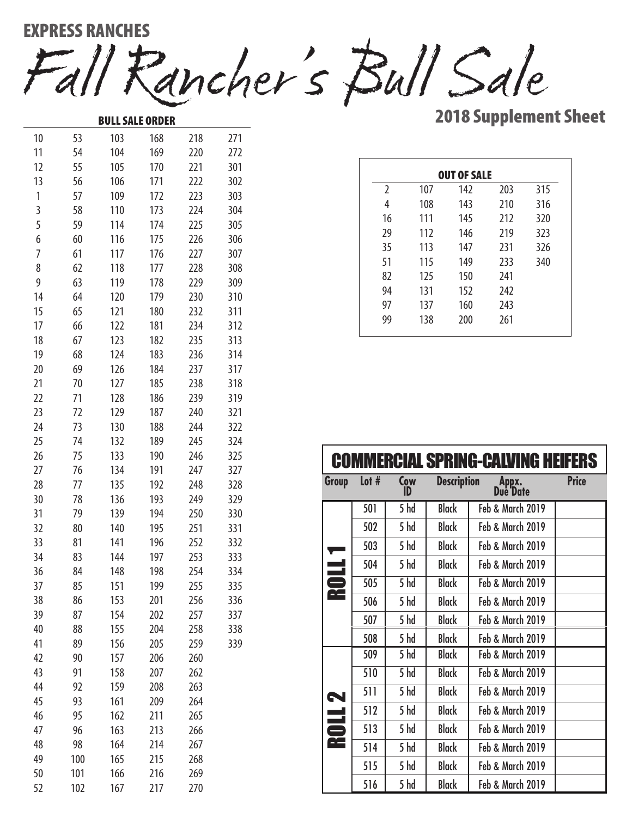Fall Rancher's Bull Sale EXPRESS RANCHES

BULL SALE ORDER

2018 Supplement Sheet

| 10 | 53  | 103 | 168 | 218 | 271 |
|----|-----|-----|-----|-----|-----|
| 11 | 54  | 104 | 169 | 220 | 272 |
| 12 | 55  | 105 | 170 | 221 | 301 |
| 13 | 56  | 106 | 171 | 222 | 302 |
| 1  | 57  | 109 | 172 | 223 | 303 |
| 3  | 58  | 110 | 173 | 224 | 304 |
| 5  | 59  | 114 | 174 | 225 | 305 |
| 6  | 60  | 116 | 175 | 226 | 306 |
| 7  | 61  | 117 | 176 | 227 | 307 |
| 8  | 62  | 118 | 177 | 228 | 308 |
| 9  | 63  | 119 | 178 | 229 | 309 |
| 14 | 64  | 120 | 179 | 230 | 310 |
| 15 | 65  | 121 | 180 | 232 | 311 |
| 17 | 66  | 122 | 181 | 234 | 312 |
| 18 | 67  | 123 | 182 | 235 | 313 |
| 19 | 68  | 124 | 183 | 236 | 314 |
| 20 | 69  | 126 | 184 | 237 | 317 |
| 21 | 70  | 127 | 185 | 238 | 318 |
| 22 | 71  | 128 | 186 | 239 | 319 |
| 23 | 72  | 129 | 187 | 240 | 321 |
| 24 | 73  | 130 | 188 | 244 | 322 |
| 25 | 74  | 132 | 189 | 245 | 324 |
| 26 | 75  | 133 | 190 | 246 | 325 |
| 27 | 76  | 134 | 191 | 247 | 327 |
| 28 | 77  | 135 | 192 | 248 | 328 |
| 30 | 78  | 136 | 193 | 249 | 329 |
| 31 | 79  | 139 | 194 | 250 | 330 |
| 32 | 80  | 140 | 195 | 251 | 331 |
| 33 | 81  | 141 | 196 | 252 | 332 |
| 34 | 83  | 144 | 197 | 253 | 333 |
| 36 | 84  | 148 | 198 | 254 | 334 |
| 37 | 85  | 151 | 199 | 255 | 335 |
| 38 | 86  | 153 | 201 | 256 | 336 |
| 39 | 87  | 154 | 202 | 257 | 337 |
| 40 | 88  | 155 | 204 | 258 | 338 |
| 41 | 89  | 156 | 205 | 259 | 339 |
| 42 | 90  | 157 | 206 | 260 |     |
| 43 | 91  | 158 | 207 | 262 |     |
| 44 | 92  | 159 | 208 | 263 |     |
| 45 | 93  | 161 | 209 | 264 |     |
| 46 | 95  | 162 | 211 | 265 |     |
| 47 | 96  | 163 | 213 | 266 |     |
| 48 | 98  | 164 | 214 | 267 |     |
| 49 | 100 | 165 | 215 | 268 |     |
| 50 | 101 | 166 | 216 | 269 |     |
| 52 | 102 | 167 | 217 | 270 |     |

|                |     | <b>OUT OF SALE</b> |     |     |
|----------------|-----|--------------------|-----|-----|
| $\overline{2}$ | 107 | 142                | 203 | 315 |
| 4              | 108 | 143                | 210 | 316 |
| 16             | 111 | 145                | 212 | 320 |
| 29             | 112 | 146                | 219 | 323 |
| 35             | 113 | 147                | 231 | 326 |
| 51             | 115 | 149                | 233 | 340 |
| 82             | 125 | 150                | 241 |     |
| 94             | 131 | 152                | 242 |     |
| 97             | 137 | 160                | 243 |     |
| 99             | 138 | 200                | 261 |     |
|                |     |                    |     |     |

| <b>COMMERCIAL SPRING-CALVING HEIFERS</b> |         |           |                    |                           |              |  |  |  |  |
|------------------------------------------|---------|-----------|--------------------|---------------------------|--------------|--|--|--|--|
| Group                                    | Lot $#$ | Cow<br>ĬĎ | <b>Description</b> | Appx <b>.</b><br>Due Date | <b>Price</b> |  |  |  |  |
|                                          | 501     | 5 hd      | <b>Black</b>       | Feb & March 2019          |              |  |  |  |  |
|                                          | 502     | 5 hd      | <b>Black</b>       | Feb & March 2019          |              |  |  |  |  |
|                                          | 503     | 5 hd      | <b>Black</b>       | Feb & March 2019          |              |  |  |  |  |
| ROLL1                                    | 504     | 5 hd      | <b>Black</b>       | Feb & March 2019          |              |  |  |  |  |
|                                          | 505     | 5hd       | <b>Black</b>       | Feb & March 2019          |              |  |  |  |  |
|                                          | 506     | 5 hd      | <b>Black</b>       | Feb & March 2019          |              |  |  |  |  |
|                                          | 507     | 5 hd      | <b>Black</b>       | Feb & March 2019          |              |  |  |  |  |
|                                          | 508     | 5 hd      | <b>Black</b>       | Feb & March 2019          |              |  |  |  |  |
|                                          | 509     | 5 hd      | <b>Black</b>       | Feb & March 2019          |              |  |  |  |  |
|                                          | 510     | 5 hd      | <b>Black</b>       | Feb & March 2019          |              |  |  |  |  |
|                                          | 511     | 5 hd      | <b>Black</b>       | Feb & March 2019          |              |  |  |  |  |
|                                          | 512     | 5 hd      | <b>Black</b>       | Feb & March 2019          |              |  |  |  |  |
| <b>ROLL2</b>                             | 513     | 5 hd      | <b>Black</b>       | Feb & March 2019          |              |  |  |  |  |
|                                          | 514     | 5 hd      | <b>Black</b>       | Feb & March 2019          |              |  |  |  |  |
|                                          | 515     | 5 hd      | <b>Black</b>       | Feb & March 2019          |              |  |  |  |  |
|                                          | 516     | 5 hd      | <b>Black</b>       | Feb & March 2019          |              |  |  |  |  |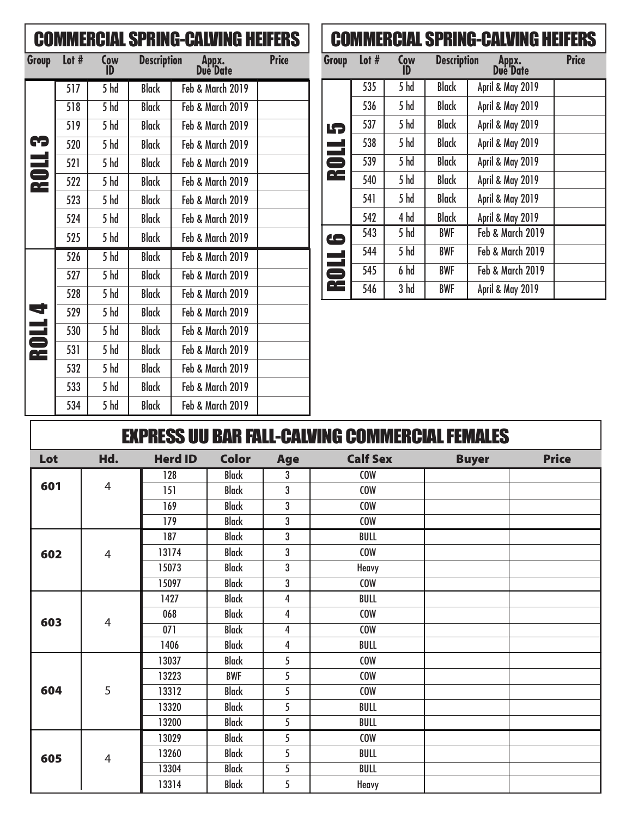| <b>COMMERCIAL SPRING-CALVING HEIFERS</b> |       |                   |                    |                   |              |  |  |  |
|------------------------------------------|-------|-------------------|--------------------|-------------------|--------------|--|--|--|
| Group                                    | Lot # | Cow<br>ID         | <b>Description</b> | Appx.<br>Due Date | <b>Price</b> |  |  |  |
|                                          | 517   | 5hd               | <b>Black</b>       | Feb & March 2019  |              |  |  |  |
|                                          | 518   | 5 hd              | <b>Black</b>       | Feb & March 2019  |              |  |  |  |
|                                          | 519   | 5hd               | <b>Black</b>       | Feb & March 2019  |              |  |  |  |
|                                          | 520   | 5 hd              | <b>Black</b>       | Feb & March 2019  |              |  |  |  |
| <b>ROLL3</b>                             | 521   | 5 hd              | <b>Black</b>       | Feb & March 2019  |              |  |  |  |
|                                          | 522   | 5 hd              | <b>Black</b>       | Feb & March 2019  |              |  |  |  |
|                                          | 523   | 5 hd              | <b>Black</b>       | Feb & March 2019  |              |  |  |  |
|                                          | 524   | 5 hd              | <b>Black</b>       | Feb & March 2019  |              |  |  |  |
|                                          | 525   | 5 hd              | <b>Black</b>       | Feb & March 2019  |              |  |  |  |
|                                          | 526   | 5 hd              | <b>Black</b>       | Feb & March 2019  |              |  |  |  |
|                                          | 527   | $\overline{5}$ hd | <b>Black</b>       | Feb & March 2019  |              |  |  |  |
|                                          | 528   | 5 hd              | <b>Black</b>       | Feb & March 2019  |              |  |  |  |
| <b>ROLL4</b>                             | 529   | 5 hd              | <b>Black</b>       | Feb & March 2019  |              |  |  |  |
|                                          | 530   | 5 hd              | <b>Black</b>       | Feb & March 2019  |              |  |  |  |
|                                          | 531   | 5 hd              | <b>Black</b>       | Feb & March 2019  |              |  |  |  |
|                                          | 532   | 5 hd              | <b>Black</b>       | Feb & March 2019  |              |  |  |  |
|                                          | 533   | 5 hd              | <b>Black</b>       | Feb & March 2019  |              |  |  |  |
|                                          | 534   | 5 hd              | <b>Black</b>       | Feb & March 2019  |              |  |  |  |

## COMMERCIAL SPRING-CALVING HEIFERS

| Group             | Lot $#$ | Cow<br>ID | <b>Description</b> | Appx.<br>Due Date | <b>Price</b> |
|-------------------|---------|-----------|--------------------|-------------------|--------------|
| LŞ<br><b>ROLL</b> | 535     | 5 hd      | <b>Black</b>       | April & May 2019  |              |
|                   | 536     | 5 hd      | <b>Black</b>       | April & May 2019  |              |
|                   | 537     | 5 hd      | <b>Black</b>       | April & May 2019  |              |
|                   | 538     | 5 hd      | <b>Black</b>       | April & May 2019  |              |
|                   | 539     | 5 hd      | <b>Black</b>       | April & May 2019  |              |
|                   | 540     | 5 hd      | <b>Black</b>       | April & May 2019  |              |
|                   | 541     | 5 hd      | <b>Black</b>       | April & May 2019  |              |
|                   | 542     | 4 hd      | <b>Black</b>       | April & May 2019  |              |
|                   | 543     | 5 hd      | <b>BWF</b>         | Feb & March 2019  |              |
|                   | 544     | 5 hd      | <b>BWF</b>         | Feb & March 2019  |              |
| <b>OLL 6</b>      | 545     | 6 hd      | <b>BWF</b>         | Feb & March 2019  |              |
|                   | 546     | 3 hd      | <b>BWF</b>         | April & May 2019  |              |

## EXPRESS UU BAR FALL-CALVING COMMERCIAL FEMALES

| Lot | Hd.            | <b>Herd ID</b> | <b>Color</b> | Age                     | <b>Calf Sex</b> | <b>Buyer</b> | <b>Price</b> |
|-----|----------------|----------------|--------------|-------------------------|-----------------|--------------|--------------|
|     |                | 128            | <b>Black</b> | 3                       | <b>COW</b>      |              |              |
| 601 | $\overline{4}$ | 151            | <b>Black</b> | 3                       | <b>COW</b>      |              |              |
|     |                | 169            | <b>Black</b> | 3                       | <b>COW</b>      |              |              |
|     |                | 179            | <b>Black</b> | 3                       | <b>COW</b>      |              |              |
|     |                | 187            | <b>Black</b> | $\mathbf{3}$            | <b>BULL</b>     |              |              |
| 602 | $\overline{4}$ | 13174          | <b>Black</b> | $\mathbf 3$             | <b>COW</b>      |              |              |
|     |                | 15073          | <b>Black</b> | 3                       | Heavy           |              |              |
|     |                | 15097          | <b>Black</b> | $\mathbf{3}$            | COW             |              |              |
|     |                | 1427           | <b>Black</b> | $\overline{\mathbf{4}}$ | BULL            |              |              |
| 603 | $\overline{4}$ | 068            | <b>Black</b> | $\overline{\mathbf{4}}$ | <b>COW</b>      |              |              |
|     |                | 071            | <b>Black</b> | 4                       | <b>COW</b>      |              |              |
|     |                | 1406           | <b>Black</b> | 4                       | <b>BULL</b>     |              |              |
|     |                | 13037          | <b>Black</b> | 5                       | <b>COW</b>      |              |              |
|     |                | 13223          | <b>BWF</b>   | 5                       | <b>COW</b>      |              |              |
| 604 | 5              | 13312          | <b>Black</b> | 5                       | <b>COW</b>      |              |              |
|     |                | 13320          | <b>Black</b> | 5                       | BULL            |              |              |
|     |                | 13200          | <b>Black</b> | 5                       | <b>BULL</b>     |              |              |
|     |                | 13029          | <b>Black</b> | $5\overline{)}$         | <b>COW</b>      |              |              |
| 605 | $\overline{4}$ | 13260          | <b>Black</b> | 5                       | BULL            |              |              |
|     |                | 13304          | <b>Black</b> | 5                       | <b>BULL</b>     |              |              |
|     |                | 13314          | <b>Black</b> | 5                       | Heavy           |              |              |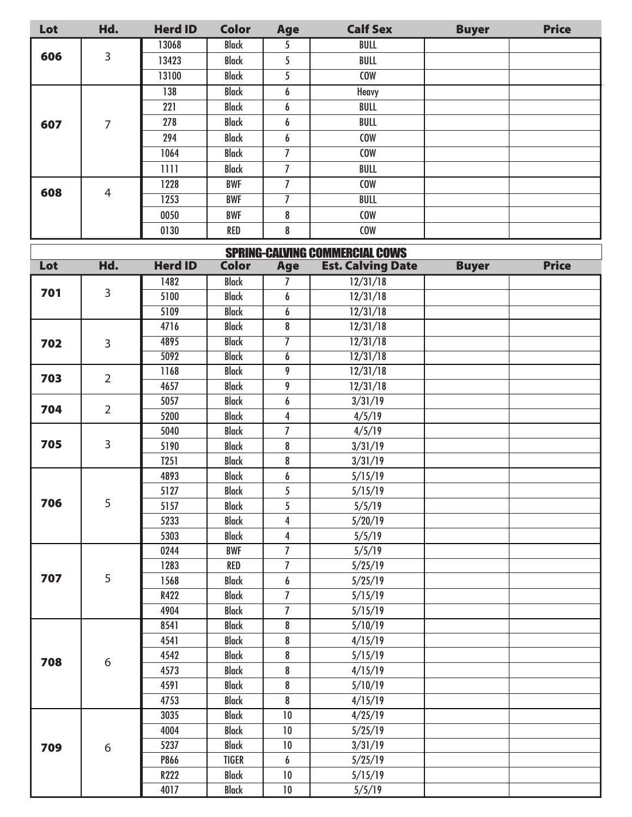| Lot | Hd.            | <b>Herd ID</b> | <b>Color</b> | Age            | <b>Calf Sex</b> | <b>Buyer</b> | <b>Price</b> |
|-----|----------------|----------------|--------------|----------------|-----------------|--------------|--------------|
|     |                | 13068          | <b>Black</b> | 5              | BULL            |              |              |
| 606 | 3              | 13423          | <b>Black</b> | 5              | BULL            |              |              |
|     |                | 13100          | <b>Black</b> | 5              | <b>COW</b>      |              |              |
|     |                | 138            | <b>Black</b> | 6              | Heavy           |              |              |
|     |                | 221            | <b>Black</b> | 6              | BULL            |              |              |
| 607 | 7              | 278            | <b>Black</b> | 6              | BULL            |              |              |
|     |                | 294            | <b>Black</b> | 6              | <b>COW</b>      |              |              |
|     |                | 1064           | <b>Black</b> | $\mathbf{z}$   | <b>COW</b>      |              |              |
|     |                | 1111           | <b>Black</b> | $\overline{1}$ | BULL            |              |              |
|     |                | 1228           | <b>BWF</b>   | 7              | <b>COW</b>      |              |              |
| 608 | $\overline{4}$ | 1253           | <b>BWF</b>   | 7              | BULL            |              |              |
|     |                | 0050           | <b>BWF</b>   | 8              | <b>COW</b>      |              |              |
|     |                | 0130           | <b>RED</b>   | 8              | <b>COW</b>      |              |              |

| <b>SPRING-CALVING COMMERCIAL COWS</b> |                       |                  |              |                |                          |              |              |  |  |
|---------------------------------------|-----------------------|------------------|--------------|----------------|--------------------------|--------------|--------------|--|--|
| Lot                                   | Hd.                   | <b>Herd ID</b>   | <b>Color</b> | <b>Age</b>     | <b>Est. Calving Date</b> | <b>Buyer</b> | <b>Price</b> |  |  |
|                                       |                       | 1482             | <b>Black</b> | $\overline{I}$ | 12/31/18                 |              |              |  |  |
| 701                                   | $\overline{3}$        | 5100             | <b>Black</b> | 6              | 12/31/18                 |              |              |  |  |
|                                       |                       | 5109             | <b>Black</b> | 6              | 12/31/18                 |              |              |  |  |
|                                       |                       | 4716             | <b>Black</b> | 8              | 12/31/18                 |              |              |  |  |
| 702                                   | 3                     | 4895             | <b>Black</b> | $\overline{7}$ | 12/31/18                 |              |              |  |  |
|                                       |                       | 5092             | <b>Black</b> | $\overline{6}$ | 12/31/18                 |              |              |  |  |
| 703                                   | $\overline{2}$        | 1168             | <b>Black</b> | 9              | 12/31/18                 |              |              |  |  |
|                                       |                       | 4657             | <b>Black</b> | 9              | 12/31/18                 |              |              |  |  |
|                                       |                       | 5057             | <b>Black</b> | 6              | 3/31/19                  |              |              |  |  |
|                                       | $\overline{2}$<br>704 | 5200             | <b>Black</b> | 4              | 4/5/19                   |              |              |  |  |
|                                       |                       | 5040             | <b>Black</b> | $\overline{7}$ | 4/5/19                   |              |              |  |  |
| 705                                   | 3                     | 5190             | <b>Black</b> | 8              | 3/31/19                  |              |              |  |  |
|                                       |                       | T <sub>251</sub> | <b>Black</b> | 8              | 3/31/19                  |              |              |  |  |
|                                       |                       | 4893             | <b>Black</b> | 6              | 5/15/19                  |              |              |  |  |
|                                       | 5                     | 5127             | <b>Black</b> | 5              | 5/15/19                  |              |              |  |  |
| 706                                   |                       | 5157             | <b>Black</b> | 5              | 5/5/19                   |              |              |  |  |
|                                       |                       | 5233             | <b>Black</b> | $\overline{4}$ | 5/20/19                  |              |              |  |  |
|                                       |                       | 5303             | <b>Black</b> | $\overline{4}$ | 5/5/19                   |              |              |  |  |
|                                       |                       | 0244             | <b>BWF</b>   | $\overline{I}$ | 5/5/19                   |              |              |  |  |
|                                       |                       | 1283             | <b>RED</b>   | $\overline{I}$ | 5/25/19                  |              |              |  |  |
| 707                                   | 5                     | 1568             | <b>Black</b> | 6              | 5/25/19                  |              |              |  |  |
|                                       |                       | R422             | <b>Black</b> | $\overline{I}$ | 5/15/19                  |              |              |  |  |
|                                       |                       | 4904             | <b>Black</b> | $\overline{7}$ | 5/15/19                  |              |              |  |  |
|                                       |                       | 8541             | <b>Black</b> | 8              | 5/10/19                  |              |              |  |  |
|                                       |                       | 4541             | <b>Black</b> | 8              | 4/15/19                  |              |              |  |  |
| 708                                   | 6                     | 4542             | <b>Black</b> | 8              | 5/15/19                  |              |              |  |  |
|                                       |                       | 4573             | <b>Black</b> | 8              | 4/15/19                  |              |              |  |  |
|                                       |                       | 4591             | <b>Black</b> | 8              | 5/10/19                  |              |              |  |  |
|                                       |                       | 4753             | <b>Black</b> | 8              | 4/15/19                  |              |              |  |  |
|                                       |                       | 3035             | <b>Black</b> | $10\,$         | 4/25/19                  |              |              |  |  |
|                                       |                       | 4004             | <b>Black</b> | 10             | 5/25/19                  |              |              |  |  |
| 709                                   | 6                     | 5237             | <b>Black</b> | $10\,$         | 3/31/19                  |              |              |  |  |
|                                       |                       | P866             | TIGER        | 6              | 5/25/19                  |              |              |  |  |
|                                       |                       | R222             | <b>Black</b> | $10\,$         | 5/15/19                  |              |              |  |  |
|                                       |                       | 4017             | <b>Black</b> | $10\,$         | 5/5/19                   |              |              |  |  |